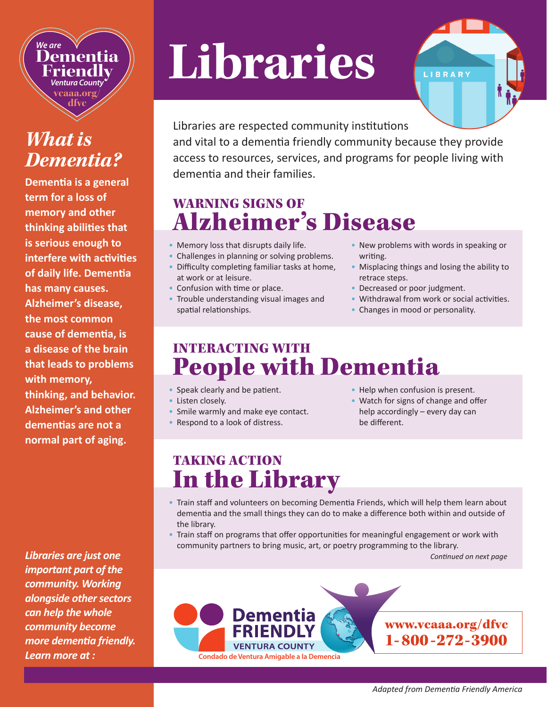*We are* **Dementia Friendly** *Ventura County* **vcaaa.org/ dfvc**

# *What is Dementia?*

**Dementia is a general term for a loss of memory and other thinking abilities that is serious enough to interfere with activities of daily life. Dementia has many causes. Alzheimer's disease, the most common cause of dementia, is a disease of the brain that leads to problems with memory, thinking, and behavior. Alzheimer's and other dementias are not a normal part of aging.** 

*Libraries are just one important part of the community. Working alongside other sectors can help the whole community become more dementia friendly. Learn more at :*

# **Libraries**



Libraries are respected community institutions and vital to a dementia friendly community because they provide access to resources, services, and programs for people living with dementia and their families.

## WARNING SIGNS OF Alzheimer's Disease

- Memory loss that disrupts daily life.
- Challenges in planning or solving problems.
- Difficulty completing familiar tasks at home, at work or at leisure.
- Confusion with time or place.
- Trouble understanding visual images and spatial relationships.
- New problems with words in speaking or writing.
- Misplacing things and losing the ability to retrace steps.
- Decreased or poor judgment.
- Withdrawal from work or social activities.
- Changes in mood or personality.

#### INTERACTING WITH People with Dementia

- Speak clearly and be patient.
- Listen closelv.
- Smile warmly and make eye contact.
- Respond to a look of distress.
- Help when confusion is present.
- Watch for signs of change and offer help accordingly – every day can be different.

### TAKING ACTION In the Library

- Train staff and volunteers on becoming Dementia Friends, which will help them learn about dementia and the small things they can do to make a difference both within and outside of the library.
- Train staff on programs that offer opportunities for meaningful engagement or work with community partners to bring music, art, or poetry programming to the library.

*Continued on next page*

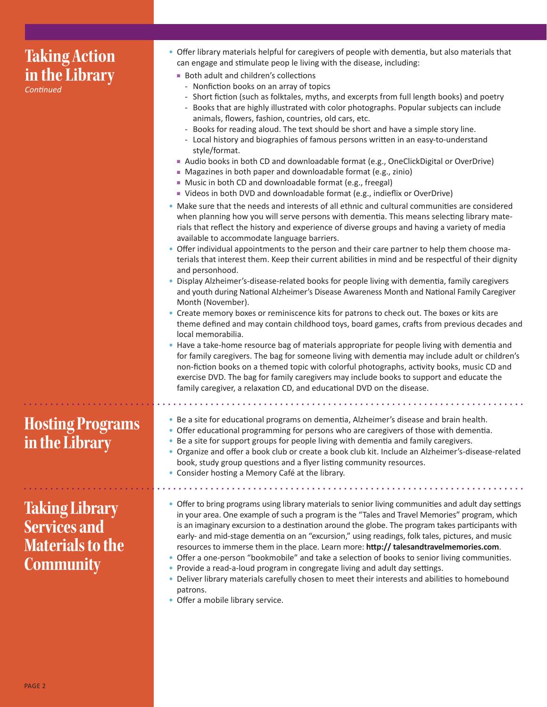| <b>Taking Action</b><br>in the Library<br>Continued                                         | • Offer library materials helpful for caregivers of people with dementia, but also materials that<br>can engage and stimulate peop le living with the disease, including:<br>Both adult and children's collections<br>- Nonfiction books on an array of topics<br>- Short fiction (such as folktales, myths, and excerpts from full length books) and poetry<br>- Books that are highly illustrated with color photographs. Popular subjects can include<br>animals, flowers, fashion, countries, old cars, etc.<br>- Books for reading aloud. The text should be short and have a simple story line.<br>- Local history and biographies of famous persons written in an easy-to-understand<br>style/format.<br>Audio books in both CD and downloadable format (e.g., OneClickDigital or OverDrive)<br>• Magazines in both paper and downloadable format (e.g., zinio)<br>Music in both CD and downloadable format (e.g., freegal)<br>■ Videos in both DVD and downloadable format (e.g., indieflix or OverDrive)<br>. Make sure that the needs and interests of all ethnic and cultural communities are considered<br>when planning how you will serve persons with dementia. This means selecting library mate-<br>rials that reflect the history and experience of diverse groups and having a variety of media<br>available to accommodate language barriers.<br>• Offer individual appointments to the person and their care partner to help them choose ma-<br>terials that interest them. Keep their current abilities in mind and be respectful of their dignity<br>and personhood.<br>. Display Alzheimer's-disease-related books for people living with dementia, family caregivers<br>and youth during National Alzheimer's Disease Awareness Month and National Family Caregiver<br>Month (November).<br>• Create memory boxes or reminiscence kits for patrons to check out. The boxes or kits are<br>theme defined and may contain childhood toys, board games, crafts from previous decades and<br>local memorabilia.<br>• Have a take-home resource bag of materials appropriate for people living with dementia and<br>for family caregivers. The bag for someone living with dementia may include adult or children's<br>non-fiction books on a themed topic with colorful photographs, activity books, music CD and<br>exercise DVD. The bag for family caregivers may include books to support and educate the<br>family caregiver, a relaxation CD, and educational DVD on the disease. |
|---------------------------------------------------------------------------------------------|--------------------------------------------------------------------------------------------------------------------------------------------------------------------------------------------------------------------------------------------------------------------------------------------------------------------------------------------------------------------------------------------------------------------------------------------------------------------------------------------------------------------------------------------------------------------------------------------------------------------------------------------------------------------------------------------------------------------------------------------------------------------------------------------------------------------------------------------------------------------------------------------------------------------------------------------------------------------------------------------------------------------------------------------------------------------------------------------------------------------------------------------------------------------------------------------------------------------------------------------------------------------------------------------------------------------------------------------------------------------------------------------------------------------------------------------------------------------------------------------------------------------------------------------------------------------------------------------------------------------------------------------------------------------------------------------------------------------------------------------------------------------------------------------------------------------------------------------------------------------------------------------------------------------------------------------------------------------------------------------------------------------------------------------------------------------------------------------------------------------------------------------------------------------------------------------------------------------------------------------------------------------------------------------------------------------------------------------------------------------------------------------------------------------------------------------------------------------------------------------------------------|
| <b>Hosting Programs</b><br>in the Library                                                   | . Be a site for educational programs on dementia, Alzheimer's disease and brain health.<br>• Offer educational programming for persons who are caregivers of those with dementia.<br>• Be a site for support groups for people living with dementia and family caregivers.<br>· Organize and offer a book club or create a book club kit. Include an Alzheimer's-disease-related<br>book, study group questions and a flyer listing community resources.<br>• Consider hosting a Memory Café at the library.                                                                                                                                                                                                                                                                                                                                                                                                                                                                                                                                                                                                                                                                                                                                                                                                                                                                                                                                                                                                                                                                                                                                                                                                                                                                                                                                                                                                                                                                                                                                                                                                                                                                                                                                                                                                                                                                                                                                                                                                 |
| <b>Taking Library</b><br><b>Services and</b><br><b>Materials to the</b><br><b>Community</b> | • Offer to bring programs using library materials to senior living communities and adult day settings<br>in your area. One example of such a program is the "Tales and Travel Memories" program, which<br>is an imaginary excursion to a destination around the globe. The program takes participants with<br>early- and mid-stage dementia on an "excursion," using readings, folk tales, pictures, and music<br>resources to immerse them in the place. Learn more: http:// talesandtravelmemories.com.<br>• Offer a one-person "bookmobile" and take a selection of books to senior living communities.<br>• Provide a read-a-loud program in congregate living and adult day settings.<br>. Deliver library materials carefully chosen to meet their interests and abilities to homebound<br>patrons.<br>• Offer a mobile library service.                                                                                                                                                                                                                                                                                                                                                                                                                                                                                                                                                                                                                                                                                                                                                                                                                                                                                                                                                                                                                                                                                                                                                                                                                                                                                                                                                                                                                                                                                                                                                                                                                                                               |